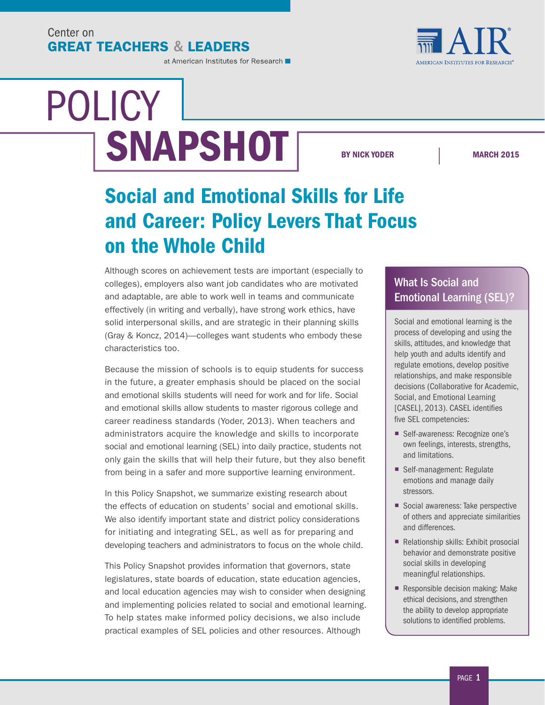## Center on **GREAT TEACHERS & LEADERS**

at American Institutes for Research



# POLICY SNAPSHOT

BY NICK YODER MARCH 2015

## Social and Emotional Skills for Life and Career: Policy Levers That Focus on the Whole Child

Although scores on achievement tests are important (especially to colleges), employers also want job candidates who are motivated and adaptable, are able to work well in teams and communicate effectively (in writing and verbally), have strong work ethics, have solid interpersonal skills, and are strategic in their planning skills (Gray & Koncz, 2014)—colleges want students who embody these characteristics too.

Because the mission of schools is to equip students for success in the future, a greater emphasis should be placed on the social and emotional skills students will need for work and for life. Social and emotional skills allow students to master rigorous college and career readiness standards (Yoder, 2013). When teachers and administrators acquire the knowledge and skills to incorporate social and emotional learning (SEL) into daily practice, students not only gain the skills that will help their future, but they also benefit from being in a safer and more supportive learning environment.

In this Policy Snapshot, we summarize existing research about the effects of education on students' social and emotional skills. We also identify important state and district policy considerations for initiating and integrating SEL, as well as for preparing and developing teachers and administrators to focus on the whole child.

This Policy Snapshot provides information that governors, state legislatures, state boards of education, state education agencies, and local education agencies may wish to consider when designing and implementing policies related to social and emotional learning. To help states make informed policy decisions, we also include practical examples of SEL policies and other resources. Although

## What Is Social and Emotional Learning (SEL)?

Social and emotional learning is the process of developing and using the skills, attitudes, and knowledge that help youth and adults identify and regulate emotions, develop positive relationships, and make responsible decisions (Collaborative for Academic, Social, and Emotional Learning [CASEL], 2013). CASEL identifies five SEL competencies:

- Self-awareness: Recognize one's own feelings, interests, strengths, and limitations.
- Self-management: Regulate emotions and manage daily stressors.
- Social awareness: Take perspective of others and appreciate similarities and differences.
- Relationship skills: Exhibit prosocial behavior and demonstrate positive social skills in developing meaningful relationships.
- Responsible decision making: Make ethical decisions, and strengthen the ability to develop appropriate solutions to identified problems.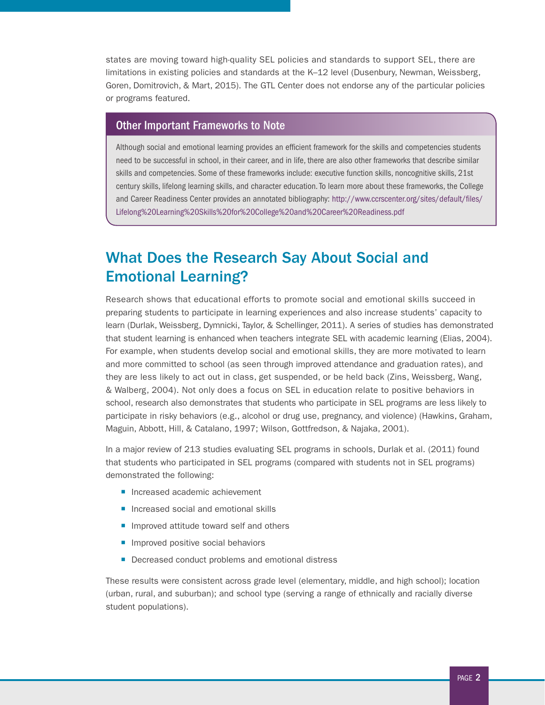states are moving toward high-quality SEL policies and standards to support SEL, there are limitations in existing policies and standards at the K–12 level (Dusenbury, Newman, Weissberg, Goren, Domitrovich, & Mart, 2015). The GTL Center does not endorse any of the particular policies or programs featured.

#### Other Important Frameworks to Note

Although social and emotional learning provides an efficient framework for the skills and competencies students need to be successful in school, in their career, and in life, there are also other frameworks that describe similar skills and competencies. Some of these frameworks include: executive function skills, noncognitive skills, 21st century skills, lifelong learning skills, and character education. To learn more about these frameworks, the College and Career Readiness Center provides an annotated bibliography: [http://www.ccrscenter.org/sites/default/files/](http://www.ccrscenter.org/sites/default/files/Lifelong%20Learning%20Skills%20for%20College%20and%20Career%20Readiness.pdf) [Lifelong%20Learning%20Skills%20for%20College%20and%20Career%20Readiness.pdf](http://www.ccrscenter.org/sites/default/files/Lifelong%20Learning%20Skills%20for%20College%20and%20Career%20Readiness.pdf)

## What Does the Research Say About Social and Emotional Learning?

Research shows that educational efforts to promote social and emotional skills succeed in preparing students to participate in learning experiences and also increase students' capacity to learn (Durlak, Weissberg, Dymnicki, Taylor, & Schellinger, 2011). A series of studies has demonstrated that student learning is enhanced when teachers integrate SEL with academic learning (Elias, 2004). For example, when students develop social and emotional skills, they are more motivated to learn and more committed to school (as seen through improved attendance and graduation rates), and they are less likely to act out in class, get suspended, or be held back (Zins, Weissberg, Wang, & Walberg, 2004). Not only does a focus on SEL in education relate to positive behaviors in school, research also demonstrates that students who participate in SEL programs are less likely to participate in risky behaviors (e.g., alcohol or drug use, pregnancy, and violence) (Hawkins, Graham, Maguin, Abbott, Hill, & Catalano, 1997; Wilson, Gottfredson, & Najaka, 2001).

In a major review of 213 studies evaluating SEL programs in schools, Durlak et al. (2011) found that students who participated in SEL programs (compared with students not in SEL programs) demonstrated the following:

- Increased academic achievement
- Increased social and emotional skills
- Improved attitude toward self and others
- **Improved positive social behaviors**
- Decreased conduct problems and emotional distress

These results were consistent across grade level (elementary, middle, and high school); location (urban, rural, and suburban); and school type (serving a range of ethnically and racially diverse student populations).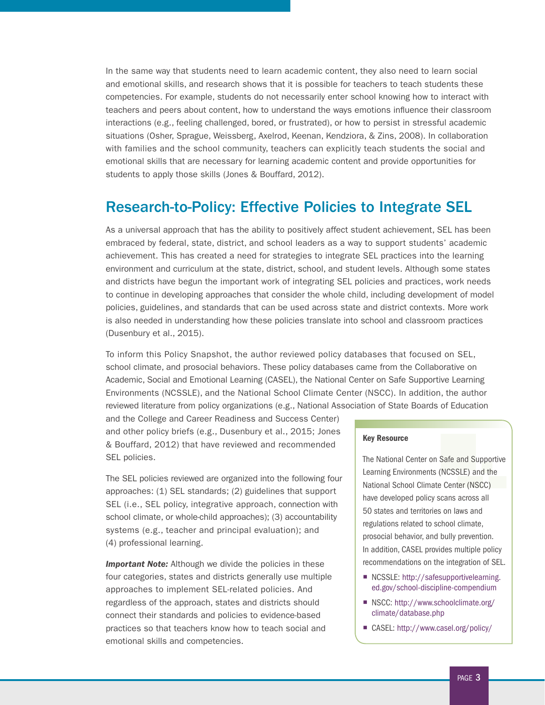In the same way that students need to learn academic content, they also need to learn social and emotional skills, and research shows that it is possible for teachers to teach students these competencies. For example, students do not necessarily enter school knowing how to interact with teachers and peers about content, how to understand the ways emotions influence their classroom interactions (e.g., feeling challenged, bored, or frustrated), or how to persist in stressful academic situations (Osher, Sprague, Weissberg, Axelrod, Keenan, Kendziora, & Zins, 2008). In collaboration with families and the school community, teachers can explicitly teach students the social and emotional skills that are necessary for learning academic content and provide opportunities for students to apply those skills (Jones & Bouffard, 2012).

## Research-to-Policy: Effective Policies to Integrate SEL

As a universal approach that has the ability to positively affect student achievement, SEL has been embraced by federal, state, district, and school leaders as a way to support students' academic achievement. This has created a need for strategies to integrate SEL practices into the learning environment and curriculum at the state, district, school, and student levels. Although some states and districts have begun the important work of integrating SEL policies and practices, work needs to continue in developing approaches that consider the whole child, including development of model policies, guidelines, and standards that can be used across state and district contexts. More work is also needed in understanding how these policies translate into school and classroom practices (Dusenbury et al., 2015).

To inform this Policy Snapshot, the author reviewed policy databases that focused on SEL, school climate, and prosocial behaviors. These policy databases came from the Collaborative on Academic, Social and Emotional Learning (CASEL), the National Center on Safe Supportive Learning Environments (NCSSLE), and the National School Climate Center (NSCC). In addition, the author reviewed literature from policy organizations (e.g., National Association of State Boards of Education

and the College and Career Readiness and Success Center) and other policy briefs (e.g., Dusenbury et al., 2015; Jones & Bouffard, 2012) that have reviewed and recommended SEL policies.

The SEL policies reviewed are organized into the following four approaches: (1) SEL standards; (2) guidelines that support SEL (i.e., SEL policy, integrative approach, connection with school climate, or whole-child approaches); (3) accountability systems (e.g., teacher and principal evaluation); and (4) professional learning.

**Important Note:** Although we divide the policies in these four categories, states and districts generally use multiple approaches to implement SEL-related policies. And regardless of the approach, states and districts should connect their standards and policies to evidence-based practices so that teachers know how to teach social and emotional skills and competencies.

#### Key Resource

The National Center on Safe and Supportive Learning Environments (NCSSLE) and the National School Climate Center (NSCC) have developed policy scans across all 50 states and territories on laws and regulations related to school climate, prosocial behavior, and bully prevention. In addition, CASEL provides multiple policy recommendations on the integration of SEL.

- NCSSLE: [http://safesupportivelearning.](http://safesupportivelearning.ed.gov/school-discipline-compendium) [ed.gov/school-discipline-compendium](http://safesupportivelearning.ed.gov/school-discipline-compendium)
- NSCC: [http://www.schoolclimate.org/](http://www.schoolclimate.org/climate/database.php) [climate/database.php](http://www.schoolclimate.org/climate/database.php)
- CASEL:<http://www.casel.org/policy/>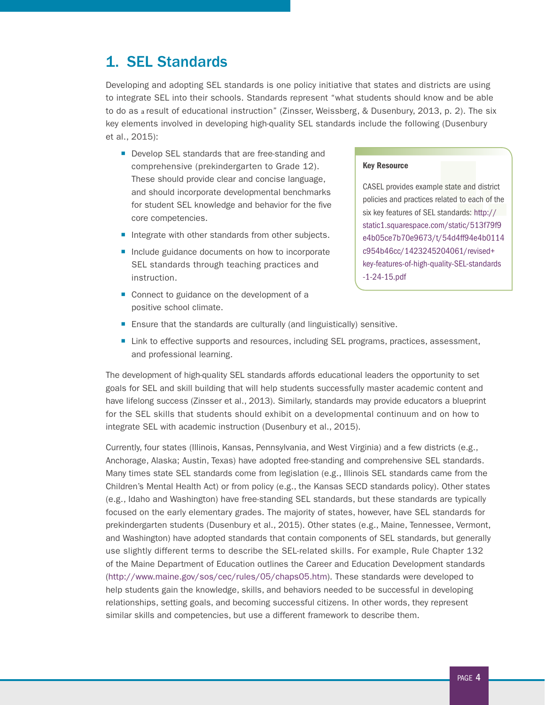## 1. SEL Standards

Developing and adopting SEL standards is one policy initiative that states and districts are using to integrate SEL into their schools. Standards represent "what students should know and be able to do as a result of educational instruction" (Zinsser, Weissberg, & Dusenbury, 2013, p. 2). The six key elements involved in developing high-quality SEL standards include the following (Dusenbury et al., 2015):

- Develop SEL standards that are free-standing and comprehensive (prekindergarten to Grade 12). These should provide clear and concise language, and should incorporate developmental benchmarks for student SEL knowledge and behavior for the five core competencies.
- Integrate with other standards from other subjects.
- Include guidance documents on how to incorporate SEL standards through teaching practices and instruction.
- Connect to guidance on the development of a positive school climate.

#### Key Resource

CASEL provides example state and district policies and practices related to each of the six key features of SEL standards: [http://](http://static1.squarespace.com/static/513f79f9e4b05ce7b70e9673/t/54d4ff94e4b0114c954b46cc/1423245204061/revised+key-features-of-high-quality-SEL-standards-1-24-15.pdf) [static1.squarespace.com/static/513f79f9](http://static1.squarespace.com/static/513f79f9e4b05ce7b70e9673/t/54d4ff94e4b0114c954b46cc/1423245204061/revised+key-features-of-high-quality-SEL-standards-1-24-15.pdf) [e4b05ce7b70e9673/t/54d4ff94e4b0114](http://static1.squarespace.com/static/513f79f9e4b05ce7b70e9673/t/54d4ff94e4b0114c954b46cc/1423245204061/revised+key-features-of-high-quality-SEL-standards-1-24-15.pdf) [c954b46cc/1423245204061/revised+](http://static1.squarespace.com/static/513f79f9e4b05ce7b70e9673/t/54d4ff94e4b0114c954b46cc/1423245204061/revised+key-features-of-high-quality-SEL-standards-1-24-15.pdf) [key-features-of-high-quality-SEL-standards](http://static1.squarespace.com/static/513f79f9e4b05ce7b70e9673/t/54d4ff94e4b0114c954b46cc/1423245204061/revised+key-features-of-high-quality-SEL-standards-1-24-15.pdf) [-1-24-15.pdf](http://static1.squarespace.com/static/513f79f9e4b05ce7b70e9673/t/54d4ff94e4b0114c954b46cc/1423245204061/revised+key-features-of-high-quality-SEL-standards-1-24-15.pdf)

- $\blacksquare$  Ensure that the standards are culturally (and linguistically) sensitive.
- Link to effective supports and resources, including SEL programs, practices, assessment, and professional learning.

The development of high-quality SEL standards affords educational leaders the opportunity to set goals for SEL and skill building that will help students successfully master academic content and have lifelong success (Zinsser et al., 2013). Similarly, standards may provide educators a blueprint for the SEL skills that students should exhibit on a developmental continuum and on how to integrate SEL with academic instruction (Dusenbury et al., 2015).

Currently, four states (Illinois, Kansas, Pennsylvania, and West Virginia) and a few districts (e.g., Anchorage, Alaska; Austin, Texas) have adopted free-standing and comprehensive SEL standards. Many times state SEL standards come from legislation (e.g., Illinois SEL standards came from the Children's Mental Health Act) or from policy (e.g., the Kansas SECD standards policy). Other states (e.g., Idaho and Washington) have free-standing SEL standards, but these standards are typically focused on the early elementary grades. The majority of states, however, have SEL standards for prekindergarten students (Dusenbury et al., 2015). Other states (e.g., Maine, Tennessee, Vermont, and Washington) have adopted standards that contain components of SEL standards, but generally use slightly different terms to describe the SEL-related skills. For example, Rule Chapter 132 of the Maine Department of Education outlines the Career and Education Development standards ([http://www.maine.gov/sos/cec/rules/05/chaps05.htm\)](http://www.maine.gov/sos/cec/rules/05/chaps05.htm). These standards were developed to help students gain the knowledge, skills, and behaviors needed to be successful in developing relationships, setting goals, and becoming successful citizens. In other words, they represent similar skills and competencies, but use a different framework to describe them.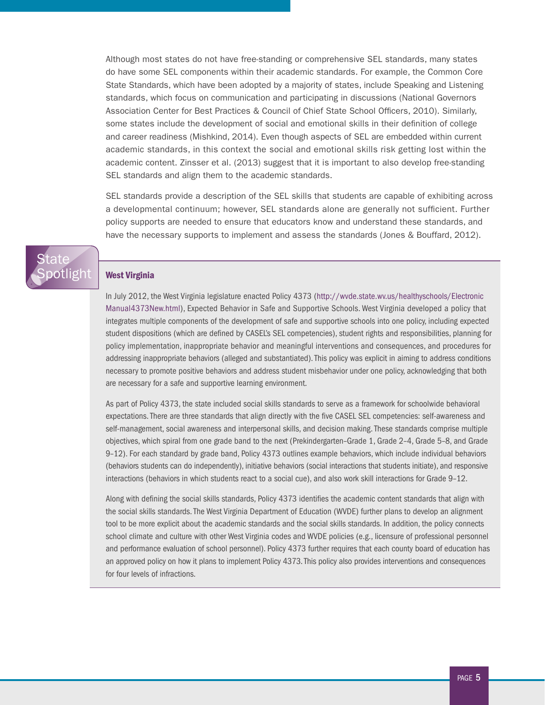Although most states do not have free-standing or comprehensive SEL standards, many states do have some SEL components within their academic standards. For example, the Common Core State Standards, which have been adopted by a majority of states, include Speaking and Listening standards, which focus on communication and participating in discussions (National Governors Association Center for Best Practices & Council of Chief State School Officers, 2010). Similarly, some states include the development of social and emotional skills in their definition of college and career readiness (Mishkind, 2014). Even though aspects of SEL are embedded within current academic standards, in this context the social and emotional skills risk getting lost within the academic content. Zinsser et al. (2013) suggest that it is important to also develop free-standing SEL standards and align them to the academic standards.

SEL standards provide a description of the SEL skills that students are capable of exhibiting across a developmental continuum; however, SEL standards alone are generally not sufficient. Further policy supports are needed to ensure that educators know and understand these standards, and have the necessary supports to implement and assess the standards (Jones & Bouffard, 2012).

## State **Spotlight**

#### [West Virginia](http://wvde.state.wv.us/healthyschools/ElectronicManual4373New.html)

In July 2012, the West Virginia legislature enacted Policy 4373 ([http://wvde.state.wv.us/healthyschools/Electronic](http://wvde.state.wv.us/healthyschools/ElectronicManual4373New.html) [Manual4373New.html\)](http://wvde.state.wv.us/healthyschools/ElectronicManual4373New.html), Expected Behavior in Safe and Supportive Schools. West Virginia developed a policy that integrates multiple components of the development of safe and supportive schools into one policy, including expected student dispositions (which are defined by CASEL's SEL competencies), student rights and responsibilities, planning for policy implementation, inappropriate behavior and meaningful interventions and consequences, and procedures for addressing inappropriate behaviors (alleged and substantiated). This policy was explicit in aiming to address conditions necessary to promote positive behaviors and address student misbehavior under one policy, acknowledging that both are necessary for a safe and supportive learning environment.

As part of Policy 4373, the state included social skills standards to serve as a framework for schoolwide behavioral expectations. There are three standards that align directly with the five CASEL SEL competencies: self-awareness and self-management, social awareness and interpersonal skills, and decision making. These standards comprise multiple objectives, which spiral from one grade band to the next (Prekindergarten–Grade 1, Grade 2–4, Grade 5–8, and Grade 9–12). For each standard by grade band, Policy 4373 outlines example behaviors, which include individual behaviors (behaviors students can do independently), initiative behaviors (social interactions that students initiate), and responsive interactions (behaviors in which students react to a social cue), and also work skill interactions for Grade 9–12.

Along with defining the social skills standards, Policy 4373 identifies the academic content standards that align with the social skills standards. The West Virginia Department of Education (WVDE) further plans to develop an alignment tool to be more explicit about the academic standards and the social skills standards. In addition, the policy connects school climate and culture with other West Virginia codes and WVDE policies (e.g., licensure of professional personnel and performance evaluation of school personnel). Policy 4373 further requires that each county board of education has an approved policy on how it plans to implement Policy 4373. This policy also provides interventions and consequences for four levels of infractions.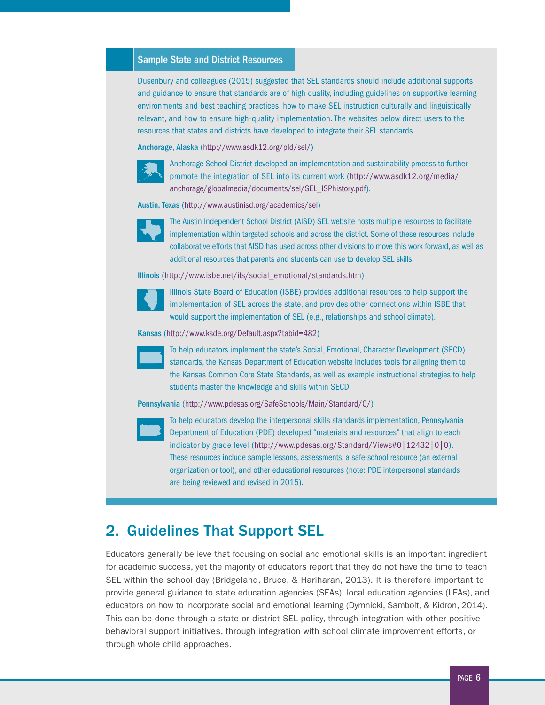#### Sample State and District Resources

Dusenbury and colleagues (2015) suggested that SEL standards should include additional supports and guidance to ensure that standards are of high quality, including guidelines on supportive learning environments and best teaching practices, how to make SEL instruction culturally and linguistically relevant, and how to ensure high-quality implementation. The websites below direct users to the resources that states and districts have developed to integrate their SEL standards.

Anchorage, Alaska [\(http://www.asdk12.org/pld/sel/](http://www.asdk12.org/pld/sel/))

| æ |
|---|

Anchorage School District developed an implementation and sustainability process to further promote the integration of SEL into its current work ([http://www.asdk12.org/media/](http://www.asdk12.org/media/anchorage/globalmedia/documents/sel/SEL_ISPhistory.pdf) [anchorage/globalmedia/documents/sel/SEL\\_ISPhistory.pdf](http://www.asdk12.org/media/anchorage/globalmedia/documents/sel/SEL_ISPhistory.pdf)).

Austin, Texas [\(http://www.austinisd.org/academics/sel](http://www.austinisd.org/academics/sel))



The Austin Independent School District (AISD) SEL website hosts multiple resources to facilitate implementation within targeted schools and across the district. Some of these resources include collaborative efforts that AISD has used across other divisions to move this work forward, as well as additional resources that parents and students can use to develop SEL skills.

Illinois ([http://www.isbe.net/ils/social\\_emotional/standards.htm](http://www.isbe.net/ils/social_emotional/standards.htm))



Illinois State Board of Education (ISBE) provides additional resources to help support the implementation of SEL across the state, and provides other connections within ISBE that would support the implementation of SEL (e.g., relationships and school climate).

Kansas [\(http://www.ksde.org/Default.aspx?tabid=482](http://www.ksde.org/Default.aspx?tabid=482))



To help educators implement the state's Social, Emotional, Character Development (SECD) standards, the Kansas Department of Education website includes tools for aligning them to the Kansas Common Core State Standards, as well as example instructional strategies to help students master the knowledge and skills within SECD.

Pennsylvania [\(http://www.pdesas.org/SafeSchools/Main/Standard/0/\)](http://www.pdesas.org/SafeSchools/Main/Standard/0/)



To help educators develop the interpersonal skills standards implementation, Pennsylvania Department of Education (PDE) developed "materials and resources" that align to each indicator by grade level (<http://www.pdesas.org/Standard/Views#0|12432|0|0>). These resources include sample lessons, assessments, a safe-school resource (an external organization or tool), and other educational resources (note: PDE interpersonal standards are being reviewed and revised in 2015).

## 2. Guidelines That Support SEL

Educators generally believe that focusing on social and emotional skills is an important ingredient for academic success, yet the majority of educators report that they do not have the time to teach SEL within the school day (Bridgeland, Bruce, & Hariharan, 2013). It is therefore important to provide general guidance to state education agencies (SEAs), local education agencies (LEAs), and educators on how to incorporate social and emotional learning (Dymnicki, Sambolt, & Kidron, 2014). This can be done through a state or district SEL policy, through integration with other positive behavioral support initiatives, through integration with school climate improvement efforts, or through whole child approaches.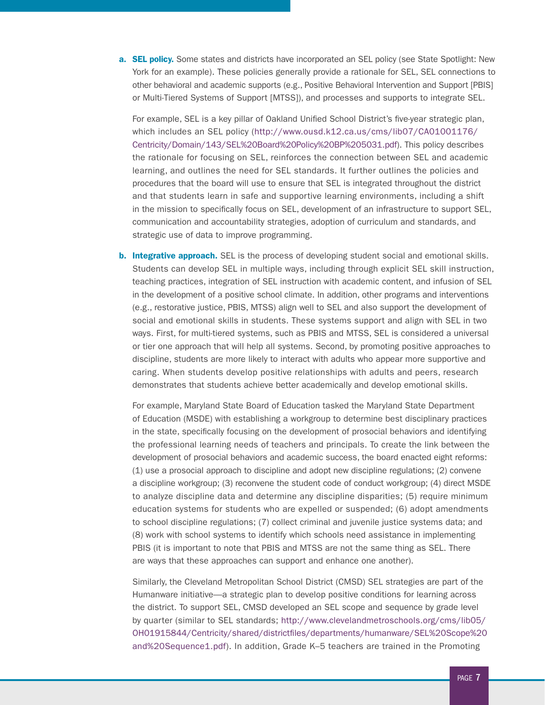a. **SEL policy.** Some states and districts have incorporated an SEL policy (see State Spotlight: New York for an example). These policies generally provide a rationale for SEL, SEL connections to other behavioral and academic supports (e.g., Positive Behavioral Intervention and Support [PBIS] or Multi-Tiered Systems of Support [MTSS]), and processes and supports to integrate SEL.

For example, SEL is a key pillar of Oakland Unified School District's five-year strategic plan, which includes an SEL policy ([http://www.ousd.k12.ca.us/cms/lib07/CA01001176/](http://www.ousd.k12.ca.us/cms/lib07/CA01001176/Centricity/Domain/143/SEL%20Board%20Policy%20BP%205031.pdf) [Centricity/Domain/143/SEL%20Board%20Policy%20BP%205031.pdf\)](http://www.ousd.k12.ca.us/cms/lib07/CA01001176/Centricity/Domain/143/SEL%20Board%20Policy%20BP%205031.pdf). This policy describes the rationale for focusing on SEL, reinforces the connection between SEL and academic learning, and outlines the need for SEL standards. It further outlines the policies and procedures that the board will use to ensure that SEL is integrated throughout the district and that students learn in safe and supportive learning environments, including a shift in the mission to specifically focus on SEL, development of an infrastructure to support SEL, communication and accountability strategies, adoption of curriculum and standards, and strategic use of data to improve programming.

**b. Integrative approach.** SEL is the process of developing student social and emotional skills. Students can develop SEL in multiple ways, including through explicit SEL skill instruction, teaching practices, integration of SEL instruction with academic content, and infusion of SEL in the development of a positive school climate. In addition, other programs and interventions (e.g., restorative justice, PBIS, MTSS) align well to SEL and also support the development of social and emotional skills in students. These systems support and align with SEL in two ways. First, for multi-tiered systems, such as PBIS and MTSS, SEL is considered a universal or tier one approach that will help all systems. Second, by promoting positive approaches to discipline, students are more likely to interact with adults who appear more supportive and caring. When students develop positive relationships with adults and peers, research demonstrates that students achieve better academically and develop emotional skills.

For example, Maryland State Board of Education tasked the Maryland State Department of Education (MSDE) with establishing a workgroup to determine best disciplinary practices in the state, specifically focusing on the development of prosocial behaviors and identifying the professional learning needs of teachers and principals. To create the link between the development of prosocial behaviors and academic success, the board enacted eight reforms: (1) use a prosocial approach to discipline and adopt new discipline regulations; (2) convene a discipline workgroup; (3) reconvene the student code of conduct workgroup; (4) direct MSDE to analyze discipline data and determine any discipline disparities; (5) require minimum education systems for students who are expelled or suspended; (6) adopt amendments to school discipline regulations; (7) collect criminal and juvenile justice systems data; and (8) work with school systems to identify which schools need assistance in implementing PBIS (it is important to note that PBIS and MTSS are not the same thing as SEL. There are ways that these approaches can support and enhance one another).

Similarly, the Cleveland Metropolitan School District (CMSD) SEL strategies are part of the Humanware initiative—a strategic plan to develop positive conditions for learning across the district. To support SEL, CMSD developed an SEL scope and sequence by grade level by quarter (similar to SEL standards; [http://www.clevelandmetroschools.org/cms/lib05/](http://www.clevelandmetroschools.org/cms/lib05/OH01915844/Centricity/shared/districtfiles/departments/humanware/SEL%20Scope%20and%20Sequence1.pdf) [OH01915844/Centricity/shared/districtfiles/departments/humanware/SEL%20Scope%20](http://www.clevelandmetroschools.org/cms/lib05/OH01915844/Centricity/shared/districtfiles/departments/humanware/SEL%20Scope%20and%20Sequence1.pdf) [and%20Sequence1.pdf\)](http://www.clevelandmetroschools.org/cms/lib05/OH01915844/Centricity/shared/districtfiles/departments/humanware/SEL%20Scope%20and%20Sequence1.pdf). In addition, Grade K–5 teachers are trained in the Promoting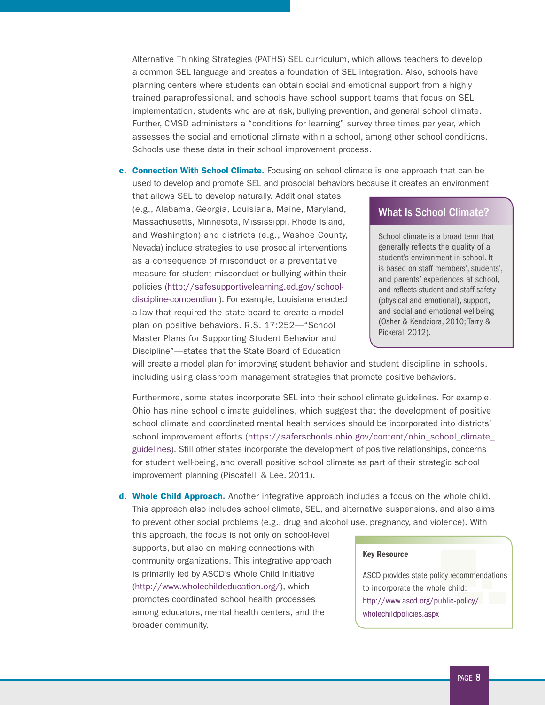Alternative Thinking Strategies (PATHS) SEL curriculum, which allows teachers to develop a common SEL language and creates a foundation of SEL integration. Also, schools have planning centers where students can obtain social and emotional support from a highly trained paraprofessional, and schools have school support teams that focus on SEL implementation, students who are at risk, bullying prevention, and general school climate. Further, CMSD administers a "conditions for learning" survey three times per year, which assesses the social and emotional climate within a school, among other school conditions. Schools use these data in their school improvement process.

c. Connection With School Climate. Focusing on school climate is one approach that can be used to develop and promote SEL and prosocial behaviors because it creates an environment

that allows SEL to develop naturally. Additional states (e.g., Alabama, Georgia, Louisiana, Maine, Maryland, Massachusetts, Minnesota, Mississippi, Rhode Island, and Washington) and districts (e.g., Washoe County, Nevada) include strategies to use prosocial interventions as a consequence of misconduct or a preventative measure for student misconduct or bullying within their policies [\(http://safesupportivelearning.ed.gov/school](http://safesupportivelearning.ed.gov/school-discipline-compendium)[discipline-compendium](http://safesupportivelearning.ed.gov/school-discipline-compendium)). For example, Louisiana enacted a law that required the state board to create a model plan on positive behaviors. R.S. 17:252—"School Master Plans for Supporting Student Behavior and Discipline"—states that the State Board of Education

#### What Is School Climate?

School climate is a broad term that generally reflects the quality of a student's environment in school. It is based on staff members', students', and parents' experiences at school, and reflects student and staff safety (physical and emotional), support, and social and emotional wellbeing (Osher & Kendziora, 2010; Tarry & Pickeral, 2012).

will create a model plan for improving student behavior and student discipline in schools, including using classroom management strategies that promote positive behaviors.

Furthermore, some states incorporate SEL into their school climate guidelines. For example, Ohio has nine school climate guidelines, which suggest that the development of positive school climate and coordinated mental health services should be incorporated into districts' school improvement efforts ([https://saferschools.ohio.gov/content/ohio\\_school\\_climate\\_](https://saferschools.ohio.gov/content/ohio_school_climate_guidelines) [guidelines](https://saferschools.ohio.gov/content/ohio_school_climate_guidelines)). Still other states incorporate the development of positive relationships, concerns for student well-being, and overall positive school climate as part of their strategic school improvement planning (Piscatelli & Lee, 2011).

d. Whole Child Approach**.** Another integrative approach includes a focus on the whole child. This approach also includes school climate, SEL, and alternative suspensions, and also aims to prevent other social problems (e.g., drug and alcohol use, pregnancy, and violence). With

this approach, the focus is not only on school-level supports, but also on making connections with community organizations. This integrative approach is primarily led by ASCD's Whole Child Initiative ([http://www.wholechildeducation.org/\)](http://www.wholechildeducation.org/), which promotes coordinated school health processes among educators, mental health centers, and the broader community.

#### Key Resource

ASCD provides state policy recommendations to incorporate the whole child: [http://www.ascd.org/public-policy/](http://www.ascd.org/public-policy/wholechildpolicies.aspx) [wholechildpolicies.aspx](http://www.ascd.org/public-policy/wholechildpolicies.aspx)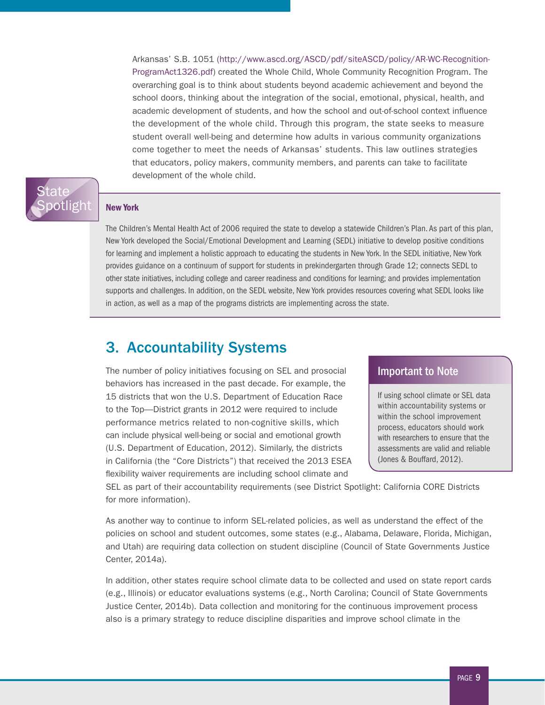Arkansas' S.B. 1051 ([http://www.ascd.org/ASCD/pdf/siteASCD/policy/AR-WC-Recognition-](http://www.ascd.org/ASCD/pdf/siteASCD/policy/AR-WC-Recognition-ProgramAct1326.pdf)[ProgramAct1326.pdf](http://www.ascd.org/ASCD/pdf/siteASCD/policy/AR-WC-Recognition-ProgramAct1326.pdf)) created the Whole Child, Whole Community Recognition Program. The overarching goal is to think about students beyond academic achievement and beyond the school doors, thinking about the integration of the social, emotional, physical, health, and academic development of students, and how the school and out-of-school context influence the development of the whole child. Through this program, the state seeks to measure student overall well-being and determine how adults in various community organizations come together to meet the needs of Arkansas' students. This law outlines strategies that educators, policy makers, community members, and parents can take to facilitate development of the whole child.

#### New York

**State** 

otlight

The Children's Mental Health Act of 2006 required the state to develop a statewide Children's Plan. As part of this plan, New York developed the Social/Emotional Development and Learning (SEDL) initiative to develop positive conditions for learning and implement a holistic approach to educating the students in New York. In the SEDL initiative, New York provides guidance on a continuum of support for students in prekindergarten through Grade 12; connects SEDL to other state initiatives, including college and career readiness and conditions for learning; and provides implementation supports and challenges. In addition, on the SEDL website, New York provides resources covering what SEDL looks like in action, as well as a map of the programs districts are implementing across the state.

## 3. Accountability Systems

The number of policy initiatives focusing on SEL and prosocial behaviors has increased in the past decade. For example, the 15 districts that won the U.S. Department of Education Race to the Top—District grants in 2012 were required to include performance metrics related to non-cognitive skills, which can include physical well-being or social and emotional growth (U.S. Department of Education, 2012). Similarly, the districts in California (the "Core Districts") that received the 2013 ESEA flexibility waiver requirements are including school climate and

#### Important to Note

If using school climate or SEL data within accountability systems or within the school improvement process, educators should work with researchers to ensure that the assessments are valid and reliable (Jones & Bouffard, 2012).

SEL as part of their accountability requirements (see District Spotlight: California CORE Districts for more information).

As another way to continue to inform SEL-related policies, as well as understand the effect of the policies on school and student outcomes, some states (e.g., Alabama, Delaware, Florida, Michigan, and Utah) are requiring data collection on student discipline (Council of State Governments Justice Center, 2014a).

In addition, other states require school climate data to be collected and used on state report cards (e.g., Illinois) or educator evaluations systems (e.g., North Carolina; Council of State Governments Justice Center, 2014b). Data collection and monitoring for the continuous improvement process also is a primary strategy to reduce discipline disparities and improve school climate in the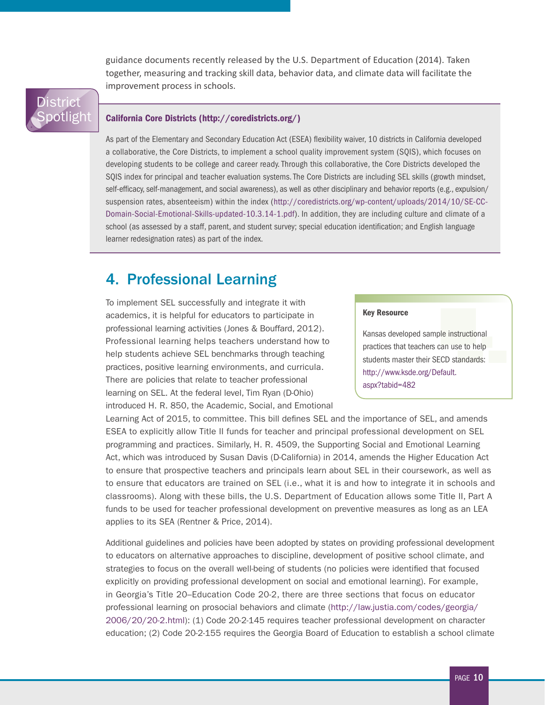guidance documents recently released by the U.S. Department of Education (2014). Taken together, measuring and tracking skill data, behavior data, and climate data will facilitate the improvement process in schools.

## **District Spotlight**

#### California Core Districts [\(http://coredistricts.org/\)](http://coredistricts.org/)

As part of the Elementary and Secondary Education Act (ESEA) flexibility waiver, 10 districts in California developed a collaborative, the Core Districts, to implement a school quality improvement system (SQIS), which focuses on developing students to be college and career ready. Through this collaborative, the Core Districts developed the SQIS index for principal and teacher evaluation systems. The Core Districts are including SEL skills (growth mindset, self-efficacy, self-management, and social awareness), as well as other disciplinary and behavior reports (e.g., expulsion/ suspension rates, absenteeism) within the index ([http://coredistricts.org/wp-content/uploads/2014/10/SE-CC-](http://coredistricts.org/wp-content/uploads/2014/10/SE-CC-Domain-Social-Emotional-Skills-updated-10.3.14-1.pdf)[Domain-Social-Emotional-Skills-updated-10.3.14-1.pdf](http://coredistricts.org/wp-content/uploads/2014/10/SE-CC-Domain-Social-Emotional-Skills-updated-10.3.14-1.pdf)). In addition, they are including culture and climate of a school (as assessed by a staff, parent, and student survey; special education identification; and English language learner redesignation rates) as part of the index.

## 4. Professional Learning

applies to its SEA (Rentner & Price, 2014).

To implement SEL successfully and integrate it with academics, it is helpful for educators to participate in professional learning activities (Jones & Bouffard, 2012). Professional learning helps teachers understand how to help students achieve SEL benchmarks through teaching practices, positive learning environments, and curricula. There are policies that relate to teacher professional

learning on SEL. At the federal level, Tim Ryan (D-Ohio) introduced H. R. 850, the Academic, Social, and Emotional Learning Act of 2015, to committee. This bill defines SEL and the importance of SEL, and amends ESEA to explicitly allow Title II funds for teacher and principal professional development on SEL programming and practices. Similarly, H. R. 4509, the Supporting Social and Emotional Learning Act, which was introduced by Susan Davis (D-California) in 2014, amends the Higher Education Act to ensure that prospective teachers and principals learn about SEL in their coursework, as well as to ensure that educators are trained on SEL (i.e., what it is and how to integrate it in schools and classrooms). Along with these bills, the U.S. Department of Education allows some Title II, Part A funds to be used for teacher professional development on preventive measures as long as an LEA

Additional guidelines and policies have been adopted by states on providing professional development to educators on alternative approaches to discipline, development of positive school climate, and strategies to focus on the overall well-being of students (no policies were identified that focused explicitly on providing professional development on social and emotional learning). For example, in Georgia's Title 20–Education Code 20-2, there are three sections that focus on educator professional learning on prosocial behaviors and climate ([http://law.justia.com/codes/georgia/](http://law.justia.com/codes/georgia/2006/20/20-2.html) [2006/20/20-2.html\)](http://law.justia.com/codes/georgia/2006/20/20-2.html): (1) Code 20-2-145 requires teacher professional development on character education; (2) Code 20-2-155 requires the Georgia Board of Education to establish a school climate

#### Key Resource

Kansas developed sample instructional practices that teachers can use to help students master their SECD standards: [http://www.ksde.org/Default.](http://www.ksde.org/Default.aspx?tabid=482) [aspx?tabid=482](http://www.ksde.org/Default.aspx?tabid=482)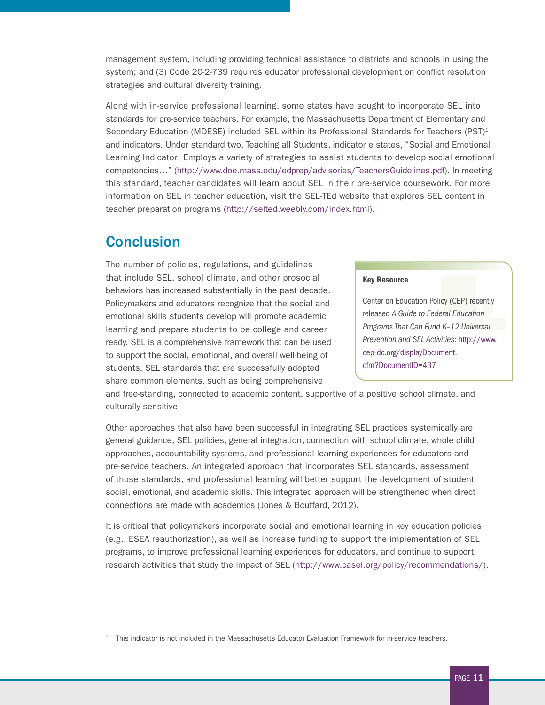management system, including providing technical assistance to districts and schools in using the system; and (3) Code 20-2-739 requires educator professional development on conflict resolution strategies and cultural diversity training.

Along with in-service professional learning, some states have sought to incorporate SEL into standards for pre-service teachers. For example, the Massachusetts Department of Elementary and Secondary Education (MDESE) included SEL within its Professional Standards for Teachers (PST)<sup>1</sup> and indicators. Under standard two, Teaching all Students, indicator e states, "Social and Emotional Learning Indicator: Employs a variety of strategies to assist students to develop social emotional competencies…" ([http://www.doe.mass.edu/edprep/advisories/TeachersGuidelines.pdf\)](http://www.doe.mass.edu/edprep/advisories/TeachersGuidelines.pdf). In meeting this standard, teacher candidates will learn about SEL in their pre-service coursework. For more information on SEL in teacher education, visit the SEL-TEd website that explores SEL content in teacher preparation programs [\(http://selted.weebly.com/index.html](http://selted.weebly.com/index.html)).

## **Conclusion**

The number of policies, regulations, and guidelines that include SEL, school climate, and other prosocial behaviors has increased substantially in the past decade. Policymakers and educators recognize that the social and emotional skills students develop will promote academic learning and prepare students to be college and career ready. SEL is a comprehensive framework that can be used to support the social, emotional, and overall well-being of students. SEL standards that are successfully adopted share common elements, such as being comprehensive

#### Key Resource

Center on Education Policy (CEP) recently released *A Guide to Federal Education Programs That Can Fund K–12 Universal Prevention and SEL Activities*: [http://www.](http://www.cep-dc.org/displayDocument.cfm?DocumentID=437) [cep-dc.org/displayDocument.](http://www.cep-dc.org/displayDocument.cfm?DocumentID=437) [cfm?DocumentID=437](http://www.cep-dc.org/displayDocument.cfm?DocumentID=437)

and free-standing, connected to academic content, supportive of a positive school climate, and culturally sensitive.

Other approaches that also have been successful in integrating SEL practices systemically are general guidance, SEL policies, general integration, connection with school climate, whole child approaches, accountability systems, and professional learning experiences for educators and pre-service teachers. An integrated approach that incorporates SEL standards, assessment of those standards, and professional learning will better support the development of student social, emotional, and academic skills. This integrated approach will be strengthened when direct connections are made with academics (Jones & Bouffard, 2012).

It is critical that policymakers incorporate social and emotional learning in key education policies (e.g., ESEA reauthorization), as well as increase funding to support the implementation of SEL programs, to improve professional learning experiences for educators, and continue to support research activities that study the impact of SEL ([http://www.casel.org/policy/recommendations/\)](http://www.casel.org/policy/recommendations/).

<sup>1</sup> This indicator is not included in the Massachusetts Educator Evaluation Framework for in-service teachers.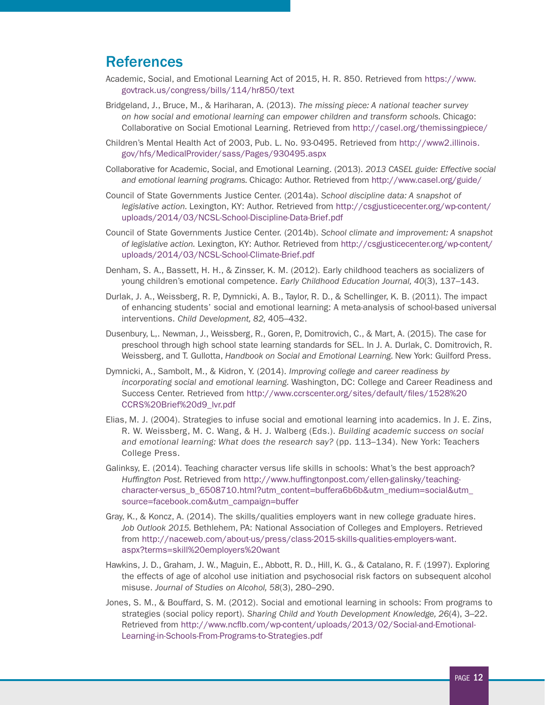## References

- Academic, Social, and Emotional Learning Act of 2015, H. R. 850. Retrieved from [https://www.](https://www.govtrack.us/congress/bills/114/hr850/text) [govtrack.us/congress/bills/114/hr850/text](https://www.govtrack.us/congress/bills/114/hr850/text)
- Bridgeland, J., Bruce, M., & Hariharan, A. (2013). *The missing piece: A national teacher survey on how social and emotional learning can empower children and transform schools.* Chicago: Collaborative on Social Emotional Learning. Retrieved from<http://casel.org/themissingpiece/>
- Children's Mental Health Act of 2003, Pub. L. No. 93-0495. Retrieved from [http://www2.illinois.](http://www2.illinois.gov/hfs/MedicalProvider/sass/Pages/930495.aspx) [gov/hfs/MedicalProvider/sass/Pages/930495.aspx](http://www2.illinois.gov/hfs/MedicalProvider/sass/Pages/930495.aspx)
- Collaborative for Academic, Social, and Emotional Learning. (2013). *2013 CASEL guide: Effective social and emotional learning programs.* Chicago: Author. Retrieved from <http://www.casel.org/guide/>
- Council of State Governments Justice Center. (2014a). *School discipline data: A snapshot of legislative action.* Lexington, KY: Author. Retrieved from [http://csgjusticecenter.org/wp-content/](http://csgjusticecenter.org/wp-content/uploads/2014/03/NCSL-School-Discipline-Data-Brief.pdf) [uploads/2014/03/NCSL-School-Discipline-Data-Brief.pdf](http://csgjusticecenter.org/wp-content/uploads/2014/03/NCSL-School-Discipline-Data-Brief.pdf)
- Council of State Governments Justice Center. (2014b). *School climate and improvement: A snapshot of legislative action.* Lexington, KY: Author. Retrieved from [http://csgjusticecenter.org/wp-content/](http://csgjusticecenter.org/wp-content/uploads/2014/03/NCSL-School-Climate-Brief.pdf) [uploads/2014/03/NCSL-School-Climate-Brief.pdf](http://csgjusticecenter.org/wp-content/uploads/2014/03/NCSL-School-Climate-Brief.pdf)
- Denham, S. A., Bassett, H. H., & Zinsser, K. M. (2012). Early childhood teachers as socializers of young children's emotional competence. *Early Childhood Education Journal, 40*(3), 137–143.
- Durlak, J. A., Weissberg, R. P., Dymnicki, A. B., Taylor, R. D., & Schellinger, K. B. (2011). The impact of enhancing students' social and emotional learning: A meta-analysis of school-based universal interventions. *Child Development, 82,* 405–432.
- Dusenbury, L,. Newman, J., Weissberg, R., Goren, P., Domitrovich, C., & Mart, A. (2015). The case for preschool through high school state learning standards for SEL. In J. A. Durlak, C. Domitrovich, R. Weissberg, and T. Gullotta, *Handbook on Social and Emotional Learning.* New York: Guilford Press.
- Dymnicki, A., Sambolt, M., & Kidron, Y. (2014). *Improving college and career readiness by incorporating social and emotional learning.* Washington, DC: College and Career Readiness and Success Center. Retrieved from [http://www.ccrscenter.org/sites/default/files/1528%20](http://www.ccrscenter.org/sites/default/files/1528%20CCRS%20Brief%20d9_lvr.pdf) [CCRS%20Brief%20d9\\_lvr.pdf](http://www.ccrscenter.org/sites/default/files/1528%20CCRS%20Brief%20d9_lvr.pdf)
- Elias, M. J. (2004). Strategies to infuse social and emotional learning into academics. In J. E. Zins, R. W. Weissberg, M. C. Wang, & H. J. Walberg (Eds.). *Building academic success on social and emotional learning: What does the research say?* (pp. 113–134). New York: Teachers College Press.
- Galinksy, E. (2014). Teaching character versus life skills in schools: What's the best approach? *Huffington Post.* Retrieved from [http://www.huffingtonpost.com/ellen-galinsky/teaching](http://www.huffingtonpost.com/ellen-galinsky/teaching-character-versus_b_6508710.html?utm_content=buffera6b6b&utm_medium=social&utm_source=facebook.com&utm_campaign=buffer)character-versus\_b\_6508710.html?utm\_content=buffera6b6b&utm\_medium=social&utm [source=facebook.com&utm\\_campaign=buffer](http://www.huffingtonpost.com/ellen-galinsky/teaching-character-versus_b_6508710.html?utm_content=buffera6b6b&utm_medium=social&utm_source=facebook.com&utm_campaign=buffer)
- Gray, K., & Koncz, A. (2014). The skills/qualities employers want in new college graduate hires. *Job Outlook 2015.* Bethlehem, PA: National Association of Colleges and Employers. Retrieved from [http://naceweb.com/about-us/press/class-2015-skills-qualities-employers-want.](http://naceweb.com/about-us/press/class-2015-skills-qualities-employers-want.aspx?terms=skill%20employers%20want) [aspx?terms=skill%20employers%20want](http://naceweb.com/about-us/press/class-2015-skills-qualities-employers-want.aspx?terms=skill%20employers%20want)
- Hawkins, J. D., Graham, J. W., Maguin, E., Abbott, R. D., Hill, K. G., & Catalano, R. F. (1997). Exploring the effects of age of alcohol use initiation and psychosocial risk factors on subsequent alcohol misuse. *Journal of Studies on Alcohol, 58*(3), 280–290.
- Jones, S. M., & Bouffard, S. M. (2012). Social and emotional learning in schools: From programs to strategies (social policy report). *Sharing Child and Youth Development Knowledge, 26*(4), 3–22. Retrieved from [http://www.ncflb.com/wp-content/uploads/2013/02/Social-and-Emotional-](http://www.ncflb.com/wp-content/uploads/2013/02/Social-and-Emotional-Learning-in-Schools-From-Programs-to-Strategies.pdf)[Learning-in-Schools-From-Programs-to-Strategies.pdf](http://www.ncflb.com/wp-content/uploads/2013/02/Social-and-Emotional-Learning-in-Schools-From-Programs-to-Strategies.pdf)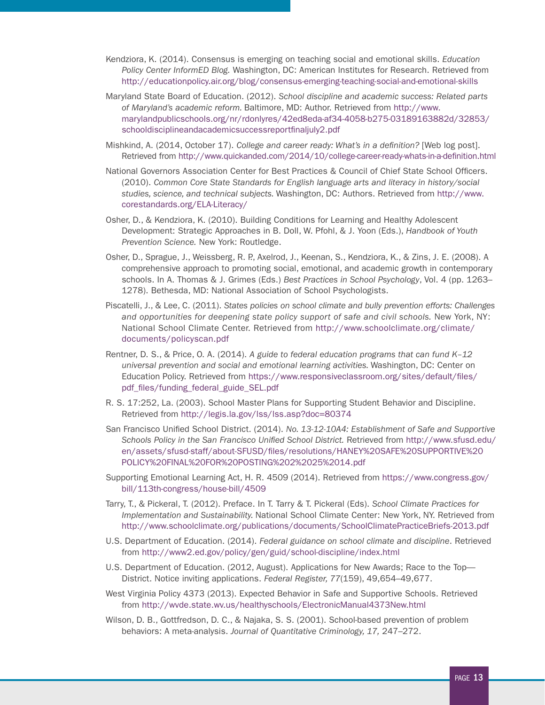- Kendziora, K. (2014). Consensus is emerging on teaching social and emotional skills. *Education Policy Center InformED Blog.* Washington, DC: American Institutes for Research. Retrieved from <http://educationpolicy.air.org/blog/consensus-emerging-teaching-social-and-emotional-skills>
- Maryland State Board of Education. (2012). *School discipline and academic success: Related parts of Maryland's academic reform.* Baltimore, MD: Author. Retrieved from [http://www.](http://www.marylandpublicschools.org/nr/rdonlyres/42ed8eda-af34-4058-b275-03189163882d/32853/schooldisciplineandacademicsuccessreportfinaljuly2.pdf) [marylandpublicschools.org/nr/rdonlyres/42ed8eda-af34-4058-b275-03189163882d/32853/](http://www.marylandpublicschools.org/nr/rdonlyres/42ed8eda-af34-4058-b275-03189163882d/32853/schooldisciplineandacademicsuccessreportfinaljuly2.pdf) [schooldisciplineandacademicsuccessreportfinaljuly2.pdf](http://www.marylandpublicschools.org/nr/rdonlyres/42ed8eda-af34-4058-b275-03189163882d/32853/schooldisciplineandacademicsuccessreportfinaljuly2.pdf)
- Mishkind, A. (2014, October 17). *College and career ready: What's in a definition?* [Web log post]. Retrieved from <http://www.quickanded.com/2014/10/college-career-ready-whats-in-a-definition.html>
- National Governors Association Center for Best Practices & Council of Chief State School Officers. (2010). *Common Core State Standards for English language arts and literacy in history/social studies, science, and technical subjects.* Washington, DC: Authors. Retrieved from [http://www.](http://www.corestandards.org/ELA-Literacy/) [corestandards.org/ELA-Literacy/](http://www.corestandards.org/ELA-Literacy/)
- Osher, D., & Kendziora, K. (2010). Building Conditions for Learning and Healthy Adolescent Development: Strategic Approaches in B. Doll, W. Pfohl, & J. Yoon (Eds.), *Handbook of Youth Prevention Science.* New York: Routledge.
- Osher, D., Sprague, J., Weissberg, R. P., Axelrod, J., Keenan, S., Kendziora, K., & Zins, J. E. (2008). A comprehensive approach to promoting social, emotional, and academic growth in contemporary schools. In A. Thomas & J. Grimes (Eds.) *Best Practices in School Psychology*, Vol. 4 (pp. 1263– 1278). Bethesda, MD: National Association of School Psychologists.
- Piscatelli, J., & Lee, C. (2011). *States policies on school climate and bully prevention efforts: Challenges and opportunities for deepening state policy support of safe and civil schools.* New York, NY: National School Climate Center. Retrieved from [http://www.schoolclimate.org/climate/](http://www.schoolclimate.org/climate/documents/policyscan.pdf) [documents/policyscan.pdf](http://www.schoolclimate.org/climate/documents/policyscan.pdf)
- Rentner, D. S., & Price, O. A. (2014). *A guide to federal education programs that can fund K–12 universal prevention and social and emotional learning activities.* Washington, DC: Center on Education Policy. Retrieved from [https://www.responsiveclassroom.org/sites/default/files/](https://www.responsiveclassroom.org/sites/default/files/pdf_files/funding_federal_guide_SEL.pdf) [pdf\\_files/funding\\_federal\\_guide\\_SEL.pdf](https://www.responsiveclassroom.org/sites/default/files/pdf_files/funding_federal_guide_SEL.pdf)
- R. S. 17:252, La. (2003). School Master Plans for Supporting Student Behavior and Discipline. Retrieved from<http://legis.la.gov/lss/lss.asp?doc=80374>
- San Francisco Unified School District. (2014). *No. 13-12-10A4: Establishment of Safe and Supportive Schools Policy in the San Francisco Unified School District.* Retrieved from [http://www.sfusd.edu/](http://www.sfusd.edu/en/assets/sfusd-staff/about-SFUSD/files/resolutions/HANEY%20SAFE%20SUPPORTIVE%20POLICY%20FINAL%20FOR%20POSTING%202%2025%2014.pdf) [en/assets/sfusd-staff/about-SFUSD/files/resolutions/HANEY%20SAFE%20SUPPORTIVE%20](http://www.sfusd.edu/en/assets/sfusd-staff/about-SFUSD/files/resolutions/HANEY%20SAFE%20SUPPORTIVE%20POLICY%20FINAL%20FOR%20POSTING%202%2025%2014.pdf) [POLICY%20FINAL%20FOR%20POSTING%202%2025%2014.pdf](http://www.sfusd.edu/en/assets/sfusd-staff/about-SFUSD/files/resolutions/HANEY%20SAFE%20SUPPORTIVE%20POLICY%20FINAL%20FOR%20POSTING%202%2025%2014.pdf)
- Supporting Emotional Learning Act, H. R. 4509 (2014). Retrieved from [https://www.congress.gov/](https://www.congress.gov/bill/113th-congress/house-bill/4509) [bill/113th-congress/house-bill/4509](https://www.congress.gov/bill/113th-congress/house-bill/4509)
- Tarry, T., & Pickeral, T. (2012). Preface. In T. Tarry & T. Pickeral (Eds). *School Climate Practices for Implementation and Sustainability.* National School Climate Center: New York, NY. Retrieved from <http://www.schoolclimate.org/publications/documents/SchoolClimatePracticeBriefs-2013.pdf>
- U.S. Department of Education. (2014). *Federal guidance on school climate and discipline*. Retrieved from <http://www2.ed.gov/policy/gen/guid/school-discipline/index.html>
- U.S. Department of Education. (2012, August). Applications for New Awards; Race to the Top— District. Notice inviting applications. *Federal Register, 77*(159), 49,654–49,677.
- West Virginia Policy 4373 (2013). Expected Behavior in Safe and Supportive Schools. Retrieved from <http://wvde.state.wv.us/healthyschools/ElectronicManual4373New.html>
- Wilson, D. B., Gottfredson, D. C., & Najaka, S. S. (2001). School-based prevention of problem behaviors: A meta-analysis. *Journal of Quantitative Criminology, 17,* 247–272.